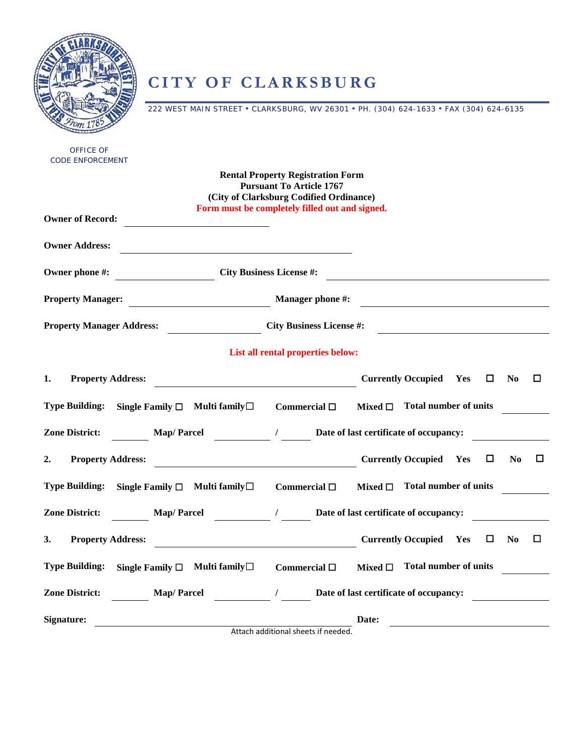## **CITY OF CLARKSBURG**

222 WEST MAIN STREET • CLARKSBURG, WV 26301 • PH. (304) 624-1633 • FAX (304) 624-6135

| <b>Rental Property Registration Form</b><br><b>Pursuant To Article 1767</b><br>(City of Clarksburg Codified Ordinance)<br>Form must be completely filled out and signed.<br><b>City Business License #:</b><br><b>Manager phone #:</b><br>$\overline{\phantom{a}}$<br><b>City Business License #:</b><br>List all rental properties below:<br><b>Currently Occupied Yes</b><br>$\Box$<br><b>Property Address:</b><br>$\bf No$<br>0<br>Mixed $\square$ Total number of units<br>Single Family $\square$ Multi family $\square$<br>Commercial $\square$<br>/ Date of last certificate of occupancy:<br><b>Map/Parcel</b><br><b>Currently Occupied Yes</b><br>0<br><b>Property Address:</b><br>N <sub>0</sub><br>□<br><b>Total number of units</b><br>Single Family $\square$ Multi family $\square$<br>Commercial $\square$<br>Mixed $\square$<br>$\frac{1}{\sqrt{1-\frac{1}{2}}}\frac{1}{\sqrt{1-\frac{1}{2}}}\frac{1}{\sqrt{1-\frac{1}{2}}}\frac{1}{\sqrt{1-\frac{1}{2}}}\frac{1}{\sqrt{1-\frac{1}{2}}}\frac{1}{\sqrt{1-\frac{1}{2}}}\frac{1}{\sqrt{1-\frac{1}{2}}}\frac{1}{\sqrt{1-\frac{1}{2}}}\frac{1}{\sqrt{1-\frac{1}{2}}}\frac{1}{\sqrt{1-\frac{1}{2}}}\frac{1}{\sqrt{1-\frac{1}{2}}}\frac{1}{\sqrt{1-\frac{1}{2}}}\frac{1}{\sqrt{1-\frac{1}{2}}}\frac{1}{\sqrt{1-\frac{$<br><b>Map/Parcel</b><br>Date of last certificate of occupancy:<br><b>Currently Occupied Yes</b><br><b>Property Address:</b><br>0<br>N <sub>0</sub><br>□<br>Mixed $\square$ Total number of units<br>Single Family $\square$ Multi family $\square$<br>Commercial $\square$<br>$\frac{1}{2}$ $\frac{1}{2}$<br>Date of last certificate of occupancy:<br><b>Map/Parcel</b><br>Date: | <b>OFFICE OF</b><br><b>CODE ENFORCEMENT</b> |                                     |  |
|-------------------------------------------------------------------------------------------------------------------------------------------------------------------------------------------------------------------------------------------------------------------------------------------------------------------------------------------------------------------------------------------------------------------------------------------------------------------------------------------------------------------------------------------------------------------------------------------------------------------------------------------------------------------------------------------------------------------------------------------------------------------------------------------------------------------------------------------------------------------------------------------------------------------------------------------------------------------------------------------------------------------------------------------------------------------------------------------------------------------------------------------------------------------------------------------------------------------------------------------------------------------------------------------------------------------------------------------------------------------------------------------------------------------------------------------------------------------------------------------------------------------------------------------------------------------------------------------------------------------------------------------------------------------|---------------------------------------------|-------------------------------------|--|
|                                                                                                                                                                                                                                                                                                                                                                                                                                                                                                                                                                                                                                                                                                                                                                                                                                                                                                                                                                                                                                                                                                                                                                                                                                                                                                                                                                                                                                                                                                                                                                                                                                                                   |                                             |                                     |  |
|                                                                                                                                                                                                                                                                                                                                                                                                                                                                                                                                                                                                                                                                                                                                                                                                                                                                                                                                                                                                                                                                                                                                                                                                                                                                                                                                                                                                                                                                                                                                                                                                                                                                   | <b>Owner of Record:</b>                     |                                     |  |
|                                                                                                                                                                                                                                                                                                                                                                                                                                                                                                                                                                                                                                                                                                                                                                                                                                                                                                                                                                                                                                                                                                                                                                                                                                                                                                                                                                                                                                                                                                                                                                                                                                                                   | <b>Owner Address:</b>                       |                                     |  |
|                                                                                                                                                                                                                                                                                                                                                                                                                                                                                                                                                                                                                                                                                                                                                                                                                                                                                                                                                                                                                                                                                                                                                                                                                                                                                                                                                                                                                                                                                                                                                                                                                                                                   | Owner phone #:                              |                                     |  |
|                                                                                                                                                                                                                                                                                                                                                                                                                                                                                                                                                                                                                                                                                                                                                                                                                                                                                                                                                                                                                                                                                                                                                                                                                                                                                                                                                                                                                                                                                                                                                                                                                                                                   | <b>Property Manager:</b>                    |                                     |  |
|                                                                                                                                                                                                                                                                                                                                                                                                                                                                                                                                                                                                                                                                                                                                                                                                                                                                                                                                                                                                                                                                                                                                                                                                                                                                                                                                                                                                                                                                                                                                                                                                                                                                   | <b>Property Manager Address:</b>            |                                     |  |
|                                                                                                                                                                                                                                                                                                                                                                                                                                                                                                                                                                                                                                                                                                                                                                                                                                                                                                                                                                                                                                                                                                                                                                                                                                                                                                                                                                                                                                                                                                                                                                                                                                                                   |                                             |                                     |  |
|                                                                                                                                                                                                                                                                                                                                                                                                                                                                                                                                                                                                                                                                                                                                                                                                                                                                                                                                                                                                                                                                                                                                                                                                                                                                                                                                                                                                                                                                                                                                                                                                                                                                   | 1.                                          |                                     |  |
|                                                                                                                                                                                                                                                                                                                                                                                                                                                                                                                                                                                                                                                                                                                                                                                                                                                                                                                                                                                                                                                                                                                                                                                                                                                                                                                                                                                                                                                                                                                                                                                                                                                                   | <b>Type Building:</b>                       |                                     |  |
|                                                                                                                                                                                                                                                                                                                                                                                                                                                                                                                                                                                                                                                                                                                                                                                                                                                                                                                                                                                                                                                                                                                                                                                                                                                                                                                                                                                                                                                                                                                                                                                                                                                                   | <b>Zone District:</b>                       |                                     |  |
|                                                                                                                                                                                                                                                                                                                                                                                                                                                                                                                                                                                                                                                                                                                                                                                                                                                                                                                                                                                                                                                                                                                                                                                                                                                                                                                                                                                                                                                                                                                                                                                                                                                                   | 2.                                          |                                     |  |
|                                                                                                                                                                                                                                                                                                                                                                                                                                                                                                                                                                                                                                                                                                                                                                                                                                                                                                                                                                                                                                                                                                                                                                                                                                                                                                                                                                                                                                                                                                                                                                                                                                                                   | <b>Type Building:</b>                       |                                     |  |
|                                                                                                                                                                                                                                                                                                                                                                                                                                                                                                                                                                                                                                                                                                                                                                                                                                                                                                                                                                                                                                                                                                                                                                                                                                                                                                                                                                                                                                                                                                                                                                                                                                                                   | <b>Zone District:</b>                       |                                     |  |
|                                                                                                                                                                                                                                                                                                                                                                                                                                                                                                                                                                                                                                                                                                                                                                                                                                                                                                                                                                                                                                                                                                                                                                                                                                                                                                                                                                                                                                                                                                                                                                                                                                                                   | 3.                                          |                                     |  |
|                                                                                                                                                                                                                                                                                                                                                                                                                                                                                                                                                                                                                                                                                                                                                                                                                                                                                                                                                                                                                                                                                                                                                                                                                                                                                                                                                                                                                                                                                                                                                                                                                                                                   | <b>Type Building:</b>                       |                                     |  |
|                                                                                                                                                                                                                                                                                                                                                                                                                                                                                                                                                                                                                                                                                                                                                                                                                                                                                                                                                                                                                                                                                                                                                                                                                                                                                                                                                                                                                                                                                                                                                                                                                                                                   | <b>Zone District:</b>                       |                                     |  |
|                                                                                                                                                                                                                                                                                                                                                                                                                                                                                                                                                                                                                                                                                                                                                                                                                                                                                                                                                                                                                                                                                                                                                                                                                                                                                                                                                                                                                                                                                                                                                                                                                                                                   | Signature:                                  | Attach additional sheets if needed. |  |